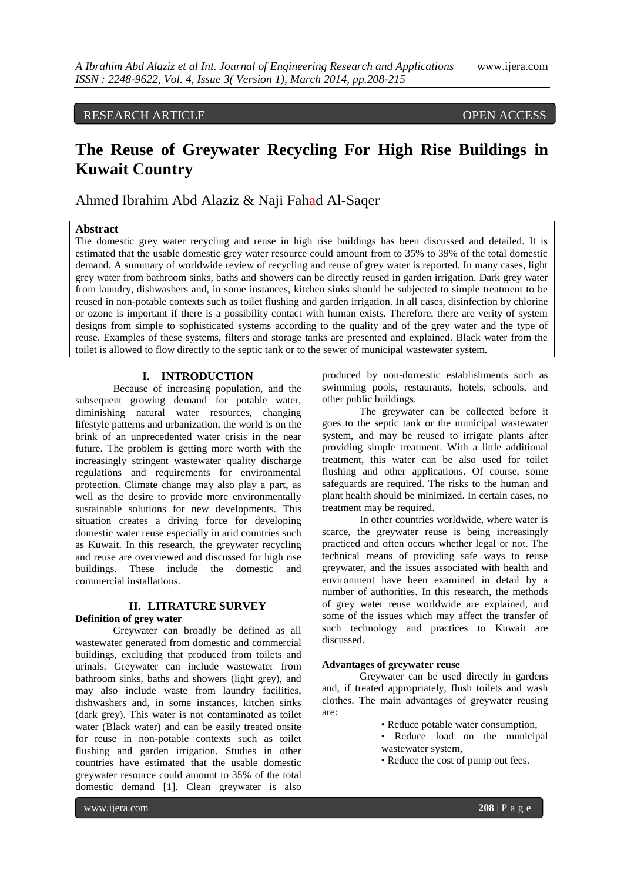# RESEARCH ARTICLE OPEN ACCESS

# **The Reuse of Greywater Recycling For High Rise Buildings in Kuwait Country**

Ahmed Ibrahim Abd Alaziz & Naji Fahad Al-Saqer

# **Abstract**

The domestic grey water recycling and reuse in high rise buildings has been discussed and detailed. It is estimated that the usable domestic grey water resource could amount from to 35% to 39% of the total domestic demand. A summary of worldwide review of recycling and reuse of grey water is reported. In many cases, light grey water from bathroom sinks, baths and showers can be directly reused in garden irrigation. Dark grey water from laundry, dishwashers and, in some instances, kitchen sinks should be subjected to simple treatment to be reused in non-potable contexts such as toilet flushing and garden irrigation. In all cases, disinfection by chlorine or ozone is important if there is a possibility contact with human exists. Therefore, there are verity of system designs from simple to sophisticated systems according to the quality and of the grey water and the type of reuse. Examples of these systems, filters and storage tanks are presented and explained. Black water from the toilet is allowed to flow directly to the septic tank or to the sewer of municipal wastewater system.

# **I. INTRODUCTION**

Because of increasing population, and the subsequent growing demand for potable water, diminishing natural water resources, changing lifestyle patterns and urbanization, the world is on the brink of an unprecedented water crisis in the near future. The problem is getting more worth with the increasingly stringent wastewater quality discharge regulations and requirements for environmental protection. Climate change may also play a part, as well as the desire to provide more environmentally sustainable solutions for new developments. This situation creates a driving force for developing domestic water reuse especially in arid countries such as Kuwait. In this research, the greywater recycling and reuse are overviewed and discussed for high rise buildings. These include the domestic and commercial installations.

# **II. LITRATURE SURVEY**

#### **Definition of grey water**

Greywater can broadly be defined as all wastewater generated from domestic and commercial buildings, excluding that produced from toilets and urinals. Greywater can include wastewater from bathroom sinks, baths and showers (light grey), and may also include waste from laundry facilities, dishwashers and, in some instances, kitchen sinks (dark grey). This water is not contaminated as toilet water (Black water) and can be easily treated onsite for reuse in non-potable contexts such as toilet flushing and garden irrigation. Studies in other countries have estimated that the usable domestic greywater resource could amount to 35% of the total domestic demand [1]. Clean greywater is also

produced by non-domestic establishments such as swimming pools, restaurants, hotels, schools, and other public buildings.

The greywater can be collected before it goes to the septic tank or the municipal wastewater system, and may be reused to irrigate plants after providing simple treatment. With a little additional treatment, this water can be also used for toilet flushing and other applications. Of course, some safeguards are required. The risks to the human and plant health should be minimized. In certain cases, no treatment may be required.

In other countries worldwide, where water is scarce, the greywater reuse is being increasingly practiced and often occurs whether legal or not. The technical means of providing safe ways to reuse greywater, and the issues associated with health and environment have been examined in detail by a number of authorities. In this research, the methods of grey water reuse worldwide are explained, and some of the issues which may affect the transfer of such technology and practices to Kuwait are discussed.

#### **Advantages of greywater reuse**

Greywater can be used directly in gardens and, if treated appropriately, flush toilets and wash clothes. The main advantages of greywater reusing are:

- Reduce potable water consumption,
- Reduce load on the municipal wastewater system,
- Reduce the cost of pump out fees.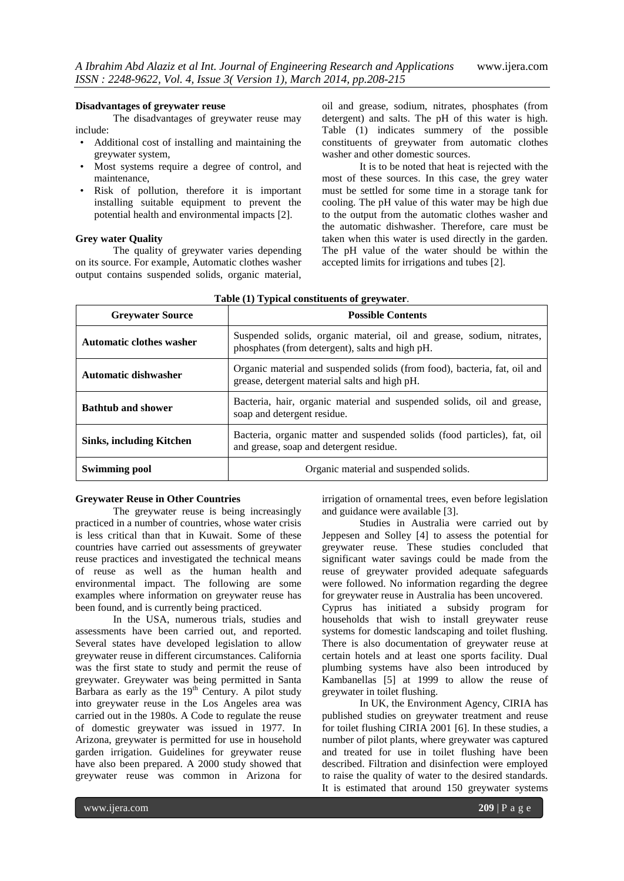#### **Disadvantages of greywater reuse**

The disadvantages of greywater reuse may include:

- Additional cost of installing and maintaining the greywater system,
- Most systems require a degree of control, and maintenance,
- Risk of pollution, therefore it is important installing suitable equipment to prevent the potential health and environmental impacts [2].

#### **Grey water Quality**

The quality of greywater varies depending on its source. For example, Automatic clothes washer output contains suspended solids, organic material,

oil and grease, sodium, nitrates, phosphates (from detergent) and salts. The pH of this water is high. Table (1) indicates summery of the possible constituents of greywater from automatic clothes washer and other domestic sources.

It is to be noted that heat is rejected with the most of these sources. In this case, the grey water must be settled for some time in a storage tank for cooling. The pH value of this water may be high due to the output from the automatic clothes washer and the automatic dishwasher. Therefore, care must be taken when this water is used directly in the garden. The pH value of the water should be within the accepted limits for irrigations and tubes [2].

| <b>Greywater Source</b>         | <b>Possible Contents</b>                                                                                                   |  |  |
|---------------------------------|----------------------------------------------------------------------------------------------------------------------------|--|--|
| <b>Automatic clothes washer</b> | Suspended solids, organic material, oil and grease, sodium, nitrates,<br>phosphates (from detergent), salts and high pH.   |  |  |
| <b>Automatic dishwasher</b>     | Organic material and suspended solids (from food), bacteria, fat, oil and<br>grease, detergent material salts and high pH. |  |  |
| <b>Bathtub and shower</b>       | Bacteria, hair, organic material and suspended solids, oil and grease,<br>soap and detergent residue.                      |  |  |
| <b>Sinks, including Kitchen</b> | Bacteria, organic matter and suspended solids (food particles), fat, oil<br>and grease, soap and detergent residue.        |  |  |
| <b>Swimming pool</b>            | Organic material and suspended solids.                                                                                     |  |  |

#### **Greywater Reuse in Other Countries**

The greywater reuse is being increasingly practiced in a number of countries, whose water crisis is less critical than that in Kuwait. Some of these countries have carried out assessments of greywater reuse practices and investigated the technical means of reuse as well as the human health and environmental impact. The following are some examples where information on greywater reuse has been found, and is currently being practiced.

In the USA, numerous trials, studies and assessments have been carried out, and reported. Several states have developed legislation to allow greywater reuse in different circumstances. California was the first state to study and permit the reuse of greywater. Greywater was being permitted in Santa Barbara as early as the 19<sup>th</sup> Century. A pilot study into greywater reuse in the Los Angeles area was carried out in the 1980s. A Code to regulate the reuse of domestic greywater was issued in 1977. In Arizona, greywater is permitted for use in household garden irrigation. Guidelines for greywater reuse have also been prepared. A 2000 study showed that greywater reuse was common in Arizona for

irrigation of ornamental trees, even before legislation and guidance were available [3].

Studies in Australia were carried out by Jeppesen and Solley [4] to assess the potential for greywater reuse. These studies concluded that significant water savings could be made from the reuse of greywater provided adequate safeguards were followed. No information regarding the degree for greywater reuse in Australia has been uncovered.

Cyprus has initiated a subsidy program for households that wish to install greywater reuse systems for domestic landscaping and toilet flushing. There is also documentation of greywater reuse at certain hotels and at least one sports facility. Dual plumbing systems have also been introduced by Kambanellas [5] at 1999 to allow the reuse of greywater in toilet flushing.

In UK, the Environment Agency, CIRIA has published studies on greywater treatment and reuse for toilet flushing CIRIA 2001 [6]. In these studies, a number of pilot plants, where greywater was captured and treated for use in toilet flushing have been described. Filtration and disinfection were employed to raise the quality of water to the desired standards. It is estimated that around 150 greywater systems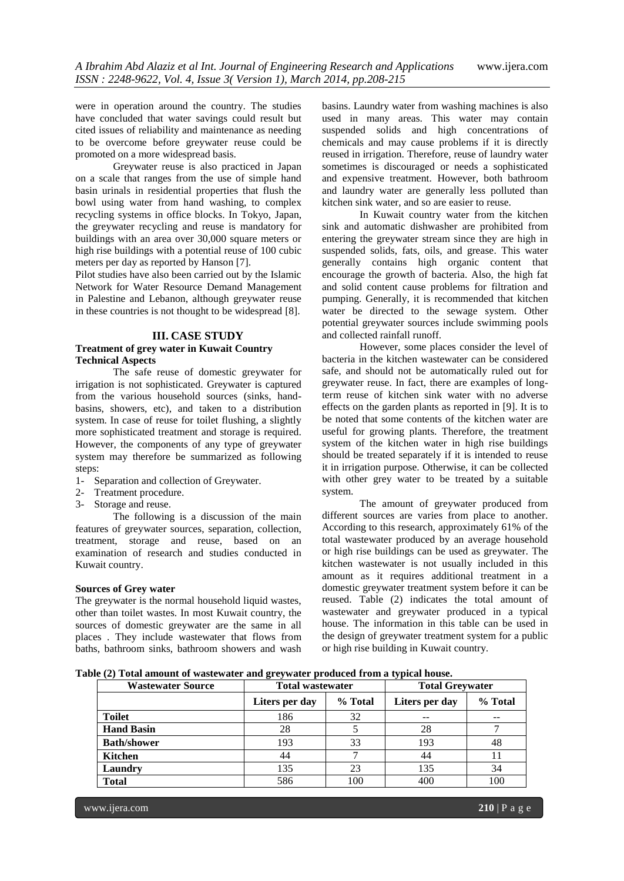were in operation around the country. The studies have concluded that water savings could result but cited issues of reliability and maintenance as needing to be overcome before greywater reuse could be promoted on a more widespread basis.

Greywater reuse is also practiced in Japan on a scale that ranges from the use of simple hand basin urinals in residential properties that flush the bowl using water from hand washing, to complex recycling systems in office blocks. In Tokyo, Japan, the greywater recycling and reuse is mandatory for buildings with an area over 30,000 square meters or high rise buildings with a potential reuse of 100 cubic meters per day as reported by Hanson [7].

Pilot studies have also been carried out by the Islamic Network for Water Resource Demand Management in Palestine and Lebanon, although greywater reuse in these countries is not thought to be widespread [8].

#### **III. CASE STUDY**

# **Treatment of grey water in Kuwait Country Technical Aspects**

The safe reuse of domestic greywater for irrigation is not sophisticated. Greywater is captured from the various household sources (sinks, handbasins, showers, etc), and taken to a distribution system. In case of reuse for toilet flushing, a slightly more sophisticated treatment and storage is required. However, the components of any type of greywater system may therefore be summarized as following steps:

- 1- Separation and collection of Greywater.
- 2- Treatment procedure.
- 3- Storage and reuse.

The following is a discussion of the main features of greywater sources, separation, collection, treatment, storage and reuse, based on an examination of research and studies conducted in Kuwait country.

#### **Sources of Grey water**

The greywater is the normal household liquid wastes, other than toilet wastes. In most Kuwait country, the sources of domestic greywater are the same in all places . They include wastewater that flows from baths, bathroom sinks, bathroom showers and wash

basins. Laundry water from washing machines is also used in many areas. This water may contain suspended solids and high concentrations of chemicals and may cause problems if it is directly reused in irrigation. Therefore, reuse of laundry water sometimes is discouraged or needs a sophisticated and expensive treatment. However, both bathroom and laundry water are generally less polluted than kitchen sink water, and so are easier to reuse.

In Kuwait country water from the kitchen sink and automatic dishwasher are prohibited from entering the greywater stream since they are high in suspended solids, fats, oils, and grease. This water generally contains high organic content that encourage the growth of bacteria. Also, the high fat and solid content cause problems for filtration and pumping. Generally, it is recommended that kitchen water be directed to the sewage system. Other potential greywater sources include swimming pools and collected rainfall runoff.

However, some places consider the level of bacteria in the kitchen wastewater can be considered safe, and should not be automatically ruled out for greywater reuse. In fact, there are examples of longterm reuse of kitchen sink water with no adverse effects on the garden plants as reported in [9]. It is to be noted that some contents of the kitchen water are useful for growing plants. Therefore, the treatment system of the kitchen water in high rise buildings should be treated separately if it is intended to reuse it in irrigation purpose. Otherwise, it can be collected with other grey water to be treated by a suitable system.

The amount of greywater produced from different sources are varies from place to another. According to this research, approximately 61% of the total wastewater produced by an average household or high rise buildings can be used as greywater. The kitchen wastewater is not usually included in this amount as it requires additional treatment in a domestic greywater treatment system before it can be reused. Table (2) indicates the total amount of wastewater and greywater produced in a typical house. The information in this table can be used in the design of greywater treatment system for a public or high rise building in Kuwait country.

**Table (2) Total amount of wastewater and greywater produced from a typical house.**

| <b>Wastewater Source</b> | <b>Total wastewater</b> |         | <b>Total Greywater</b> |         |
|--------------------------|-------------------------|---------|------------------------|---------|
|                          | Liters per day          | % Total | Liters per day         | % Total |
| <b>Toilet</b>            | 186                     | 32      |                        |         |
| <b>Hand Basin</b>        | 28                      |         | 28                     |         |
| <b>Bath/shower</b>       | 193                     | 33      | 193                    | 48      |
| Kitchen                  | 44                      |         | 44                     |         |
| Laundry                  | 135                     | 23      | 135                    | 34      |
| <b>Total</b>             | 586                     | 100     | 400                    | 100     |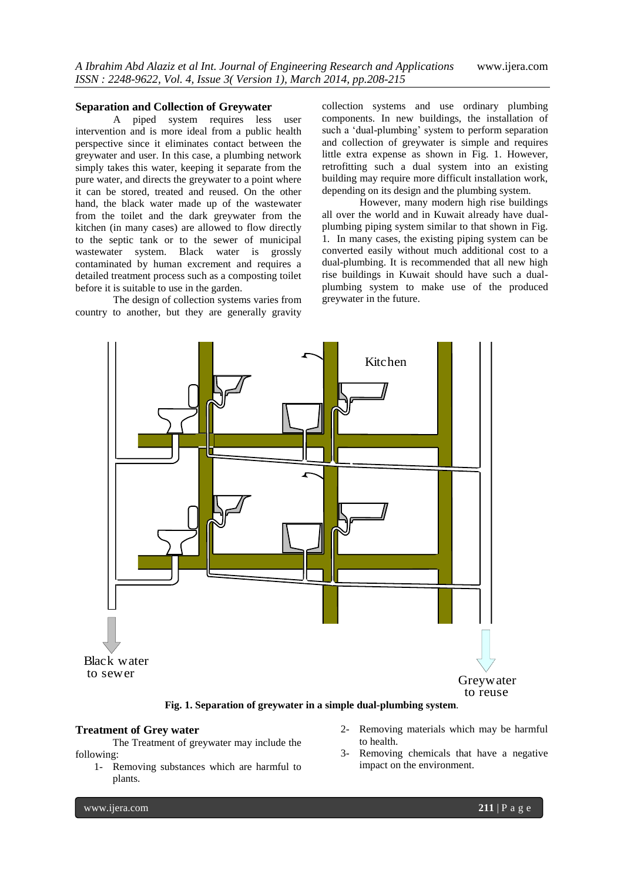# **Separation and Collection of Greywater**

A piped system requires less user intervention and is more ideal from a public health perspective since it eliminates contact between the greywater and user. In this case, a plumbing network simply takes this water, keeping it separate from the pure water, and directs the greywater to a point where it can be stored, treated and reused. On the other hand, the black water made up of the wastewater from the toilet and the dark greywater from the kitchen (in many cases) are allowed to flow directly to the septic tank or to the sewer of municipal wastewater system. Black water is grossly contaminated by human excrement and requires a detailed treatment process such as a composting toilet before it is suitable to use in the garden.

The design of collection systems varies from country to another, but they are generally gravity collection systems and use ordinary plumbing components. In new buildings, the installation of such a 'dual-plumbing' system to perform separation and collection of greywater is simple and requires little extra expense as shown in Fig. 1. However, retrofitting such a dual system into an existing building may require more difficult installation work, depending on its design and the plumbing system.

However, many modern high rise buildings all over the world and in Kuwait already have dualplumbing piping system similar to that shown in Fig. 1. In many cases, the existing piping system can be converted easily without much additional cost to a dual-plumbing. It is recommended that all new high rise buildings in Kuwait should have such a dualplumbing system to make use of the produced greywater in the future.



**Fig. 1. Separation of greywater in a simple dual-plumbing system**.

#### **Treatment of Grey water**

The Treatment of greywater may include the following:

- 1- Removing substances which are harmful to plants.
- 2- Removing materials which may be harmful to health.
- 3- Removing chemicals that have a negative impact on the environment.

www.ijera.com **211** | P a g e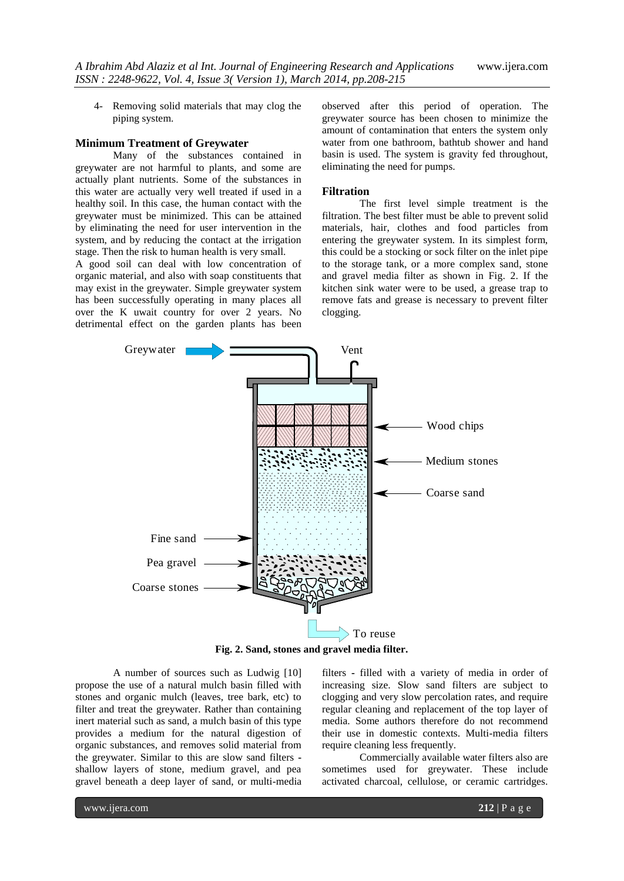4- Removing solid materials that may clog the piping system.

# **Minimum Treatment of Greywater**

Many of the substances contained in greywater are not harmful to plants, and some are actually plant nutrients. Some of the substances in this water are actually very well treated if used in a healthy soil. In this case, the human contact with the greywater must be minimized. This can be attained by eliminating the need for user intervention in the system, and by reducing the contact at the irrigation stage. Then the risk to human health is very small.

A good soil can deal with low concentration of organic material, and also with soap constituents that may exist in the greywater. Simple greywater system has been successfully operating in many places all over the K uwait country for over 2 years. No detrimental effect on the garden plants has been observed after this period of operation. The greywater source has been chosen to minimize the amount of contamination that enters the system only water from one bathroom, bathtub shower and hand basin is used. The system is gravity fed throughout, eliminating the need for pumps.

#### **Filtration**

The first level simple treatment is the filtration. The best filter must be able to prevent solid materials, hair, clothes and food particles from entering the greywater system. In its simplest form, this could be a stocking or sock filter on the inlet pipe to the storage tank, or a more complex sand, stone and gravel media filter as shown in Fig. 2. If the kitchen sink water were to be used, a grease trap to remove fats and grease is necessary to prevent filter clogging.



**Fig. 2. Sand, stones and gravel media filter.**

A number of sources such as Ludwig [10] propose the use of a natural mulch basin filled with stones and organic mulch (leaves, tree bark, etc) to filter and treat the greywater. Rather than containing inert material such as sand, a mulch basin of this type provides a medium for the natural digestion of organic substances, and removes solid material from the greywater. Similar to this are slow sand filters  shallow layers of stone, medium gravel, and pea gravel beneath a deep layer of sand, or multi-media

filters **-** filled with a variety of media in order of increasing size. Slow sand filters are subject to clogging and very slow percolation rates, and require regular cleaning and replacement of the top layer of media. Some authors therefore do not recommend their use in domestic contexts. Multi-media filters require cleaning less frequently.

Commercially available water filters also are sometimes used for greywater. These include activated charcoal, cellulose, or ceramic cartridges.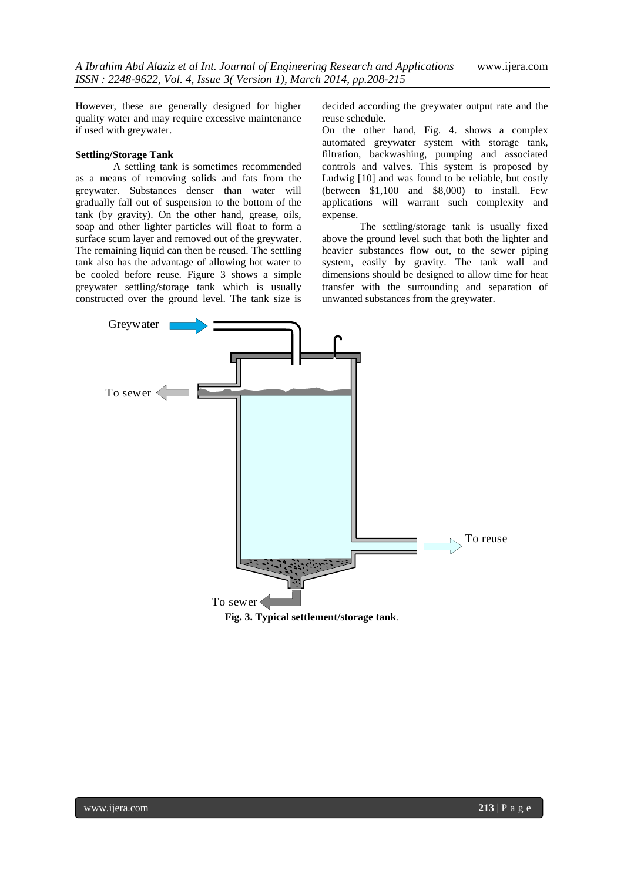However, these are generally designed for higher quality water and may require excessive maintenance if used with greywater.

# **Settling/Storage Tank**

A settling tank is sometimes recommended as a means of removing solids and fats from the greywater. Substances denser than water will gradually fall out of suspension to the bottom of the tank (by gravity). On the other hand, grease, oils, soap and other lighter particles will float to form a surface scum layer and removed out of the greywater. The remaining liquid can then be reused. The settling tank also has the advantage of allowing hot water to be cooled before reuse. Figure 3 shows a simple greywater settling/storage tank which is usually constructed over the ground level. The tank size is decided according the greywater output rate and the reuse schedule.

On the other hand, Fig. 4. shows a complex automated greywater system with storage tank, filtration, backwashing, pumping and associated controls and valves. This system is proposed by Ludwig [10] and was found to be reliable, but costly (between \$1,100 and \$8,000) to install. Few applications will warrant such complexity and expense.

The settling/storage tank is usually fixed above the ground level such that both the lighter and heavier substances flow out, to the sewer piping system, easily by gravity. The tank wall and dimensions should be designed to allow time for heat transfer with the surrounding and separation of unwanted substances from the greywater.

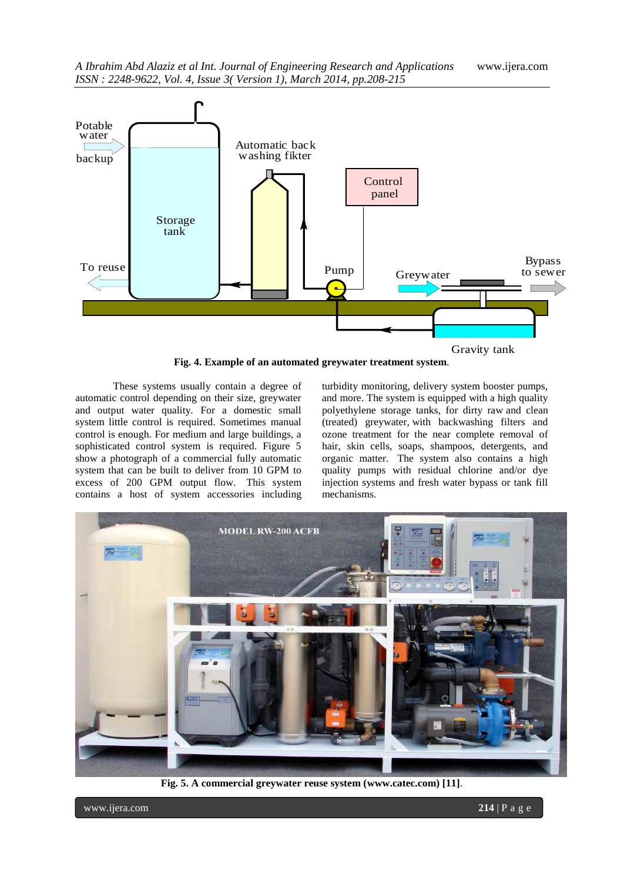

**Fig. 4. Example of an automated greywater treatment system**.

These systems usually contain a degree of automatic control depending on their size, greywater and output water quality. For a domestic small system little control is required. Sometimes manual control is enough. For medium and large buildings, a sophisticated control system is required. Figure 5 show a photograph of a commercial fully automatic system that can be built to deliver from 10 GPM to excess of 200 GPM output flow. This system contains a host of system accessories including

turbidity monitoring, delivery system booster pumps, and more. The system is equipped with a high quality polyethylene storage tanks, for dirty raw and clean (treated) greywater, with backwashing filters and ozone treatment for the near complete removal of hair, skin cells, soaps, shampoos, detergents, and organic matter. The system also contains a high quality pumps with residual chlorine and/or dye injection systems and fresh water bypass or tank fill mechanisms.



**Fig. 5. A commercial greywater reuse system [\(www.catec.com\)](http://www.catec.com/) [11]**.

www.ijera.com **214** | P a g e